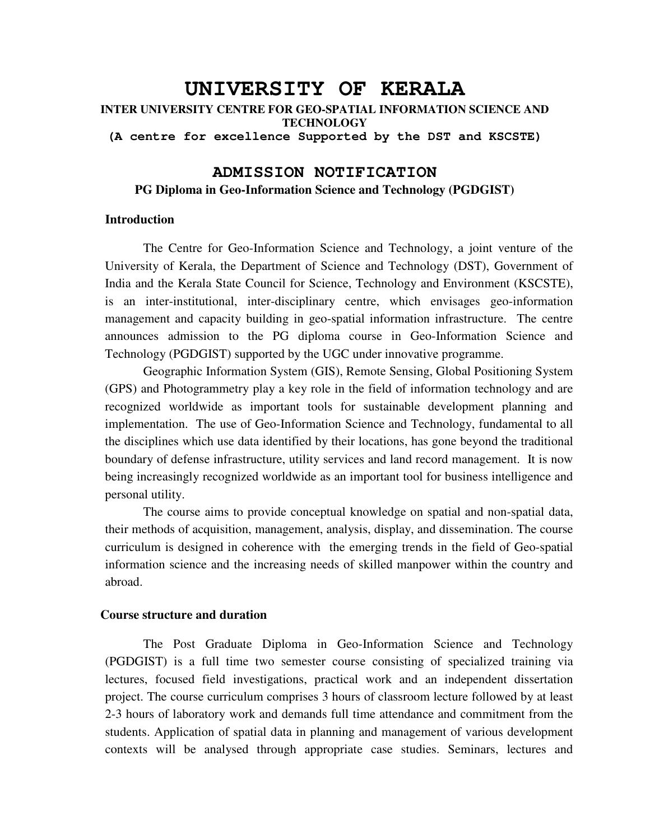# **UNIVERSITY OF KERALA INTER UNIVERSITY CENTRE FOR GEO-SPATIAL INFORMATION SCIENCE AND TECHNOLOGY (A centre for excellence Supported by the DST and KSCSTE)**

## **ADMISSION NOTIFICATION PG Diploma in Geo-Information Science and Technology (PGDGIST)**

#### **Introduction**

The Centre for Geo-Information Science and Technology, a joint venture of the University of Kerala, the Department of Science and Technology (DST), Government of India and the Kerala State Council for Science, Technology and Environment (KSCSTE), is an inter-institutional, inter-disciplinary centre, which envisages geo-information management and capacity building in geo-spatial information infrastructure. The centre announces admission to the PG diploma course in Geo-Information Science and Technology (PGDGIST) supported by the UGC under innovative programme.

Geographic Information System (GIS), Remote Sensing, Global Positioning System (GPS) and Photogrammetry play a key role in the field of information technology and are recognized worldwide as important tools for sustainable development planning and implementation. The use of Geo-Information Science and Technology, fundamental to all the disciplines which use data identified by their locations, has gone beyond the traditional boundary of defense infrastructure, utility services and land record management. It is now being increasingly recognized worldwide as an important tool for business intelligence and personal utility.

The course aims to provide conceptual knowledge on spatial and non-spatial data, their methods of acquisition, management, analysis, display, and dissemination. The course curriculum is designed in coherence with the emerging trends in the field of Geo-spatial information science and the increasing needs of skilled manpower within the country and abroad.

#### **Course structure and duration**

The Post Graduate Diploma in Geo-Information Science and Technology (PGDGIST) is a full time two semester course consisting of specialized training via lectures, focused field investigations, practical work and an independent dissertation project. The course curriculum comprises 3 hours of classroom lecture followed by at least 2-3 hours of laboratory work and demands full time attendance and commitment from the students. Application of spatial data in planning and management of various development contexts will be analysed through appropriate case studies. Seminars, lectures and